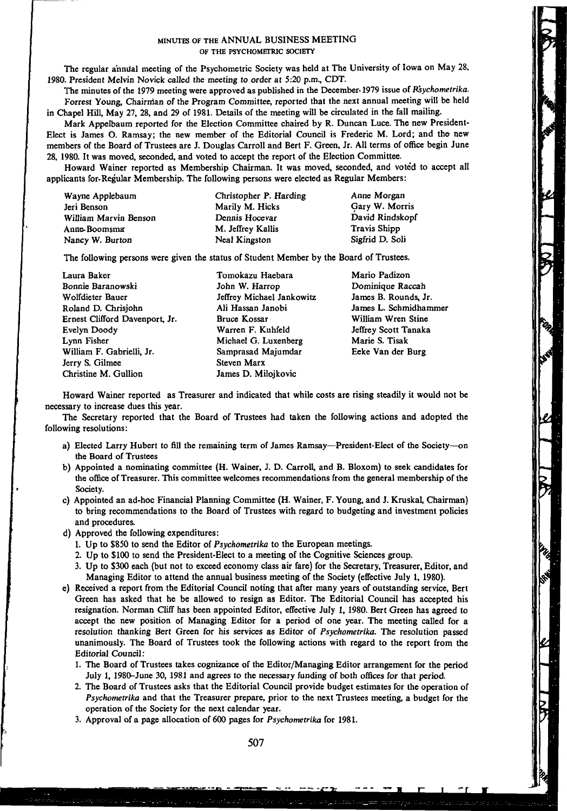## MINUTES OF THE ANNUAL BUSINESS MEETING OF THE PSYCHOMETRIC SOCIETY

The regular annual meeting of the Psychometric Society was held at The University of Iowa on May 28, 1980. President Melvin Novick called the meeting to order at 5:20 p.m., CDT.

The minutes of the 1979 meeting were approved as published in the December. 1979 issue of *Psychometrika.*  Forrest Young, Chairnian of the Program Committee, reported that the next annual meeting will be held in Chapel Hill, May 27, 28, and 29 of 1981. Details of the meeting will be circulated in the fall mailing.

Mark Appelbaum reported for the Election Committee chaired by R. Duncan Luce. The new President-Elect is James O. Ramsay; the new member of the Editorial Council is Frederic M. Lord; and the new members of the Board of Trustees are J. Douglas Carroll and Bert F. Green, Jr. All terms of office begin June 28, 1980. It was moved, seconded, and voted to accept the report of the Election Committee.

Howard Wainer reported as Membership Chairman. It was moved, seconded, and voted to accept all applicants for-Regular Membership. The following persons were elected as Regular Members:

| Wayne Applebaum       | Christopher P. Harding | Anne Morgan     |
|-----------------------|------------------------|-----------------|
| Jeri Benson           | Marily M. Hicks        | Gary W. Morris  |
| William Marvin Benson | Dennis Hocevar         | David Rindskopf |
| Anne-Boomsma          | M. Jeffrey Kallis      | Travis Shipp    |
| Nancy W. Burton       | Neal Kingston          | Sigfrid D. Soli |

The following persons were given the status of Student Member by the Board of Trustees.

| Laura Baker                    | Tomokazu Haebara          |  |
|--------------------------------|---------------------------|--|
| Bonnie Baranowski              | John W. Harrop            |  |
| Wolfdieter Bauer               | Jeffrey Michael Jankowitz |  |
| Roland D. Chrisjohn            | Ali Hassan Janobi         |  |
| Ernest Clifford Davenport. Jr. | <b>Bruce Kossar</b>       |  |
| Evelyn Doody                   | Warren F. Kuhfeld         |  |
| Lynn Fisher                    | Michael G. Luxenberg      |  |
| William F. Gabrielli, Jr.      | Samprasad Majumdar        |  |
| Jerry S. Gilmee                | Steven Marx               |  |
| Christine M. Gullion           | James D. Milojkovic       |  |
|                                |                           |  |

Mario Padizon Dominique Raccah James B. Rounds, Jr. James L. Schmidhammer William Wren Stine Jeffrey Scott Tanaka Marie S. Tisak Eeke Van der Burg

Howard Wainer reported as Treasurer and indicated that while costs are rising steadily it would not be necessary to increase dues this year.

The Secretary reported that the Board of Trustees had taken the following actions and adopted the following resolutions:

- a) Elected Larry Hubert to fill the remaining term of James Ramsay—President-Elect of the Society—on the Board of Trustees
- b) Appointed a nominating committee (H. Wainer, J. D. Carroll, and B. Bloxom) to seek candidates for the office of Treasurer. This committee welcomes recommendations from the general membership of the Society.
- c) Appointed an ad-hoc Financial Planning Committee (H. Wainer, F. Young, and J. Kruskal, Chairman) to bring recommendations to the Board of Trustees with regard to budgeting and investment policies and procedures.
- d) Approved the following expenditures:

الم ب<del>ر م</del>سمونی مانی فسط ایبادی او در م

- 1. Up to \$850 to send the Editor of *Psychometrika* to the European meetings.
- 2. Up to \$100 to send the President-Elect to a meeting of the Cognitive Sciences group.
- 3. Up to \$300 each (but not to exceed economy class air fare) for the Secretary, Treasurer, Editor, and Managing Editor to attend the annual business meeting of the Society (effective July 1, 1980).
- e) Received a report from the Editorial Council noting that after many years of outstanding service, Bert Green has asked that he be allowed to resign as Editor. The Editorial Council has accepted his resignation. Norman Cliff has been appointed Editor, effective July 1, 1980. Bert Green has agreed to accept the new position of Managing Editor for a period of one year. The meeting called for a resolution thanking Bert Green for his services as Editor of *Psychometrika.* The resolution passed unanimously. The Board of Trustees took the following actions with regard to the report from the Editorial Council:
	- 1. The Board of Trustees takes cognizance of the Editor/Managing Editor arrangement for the period July 1, 1980-June 30, 1981 and agrees to the necessary funding of both offices for that period.
	- 2. The Board of Trustees asks that the Editorial Council provide budget estimates for the operation of *Psychometrika* and that the Treasurer prepare, prior to the next Trustees meeting, a budget for the operation of the Society for the next calendar year.
	- 3. Approval of a page allocation of 600 pages for *Psychometrika* for 1981.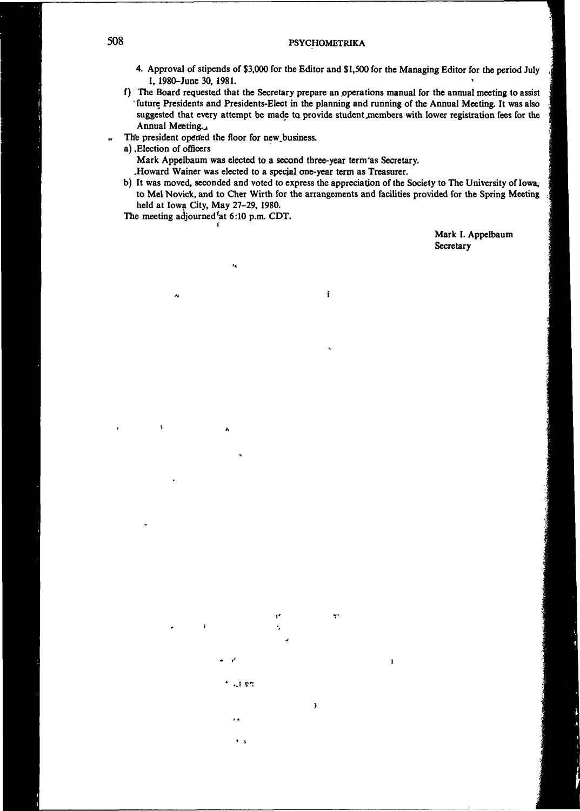## 508 PSYCHOMETRIKA

- 4. Approval of stipends of \$3,000 for the Editor and \$1,500 for the Managing Editor for the period July 1, 1980-June 30, 1981.
- f) The Board requested that the Secretary prepare an operations manual for the annual meeting to assist future Presidents and Presidents-Elect in the planning and running of the Annual Meeting. It was also suggested that every attempt be made to, provide student,members with lower registration fees for the Annual Meeting.j
- The president opened the floor for new business. w
	- a) .Election of officers

 $\mathcal{A}$ 

Mark Appelbaum was elected to a second three-year term'as Secretary.

- .Howard Wainer was elected to a special one-year term as Treasurer.
- b) It was moved, seconded and voted to express the appreciation of the Society to The University of Iowa, to Mel Novick, and to Cher Wirth for the arrangements and facilities provided for the Spring Meeting held at Iowa City, May 27-29, 1980.

ł

ĭ

The meeting adjourned at 6:10 p.m. CDT.

*i.* 

 $\sim$  1  $\Omega$   $\approx$ 

 $\bar{\mathbf{z}}$ 

Mark I. Appelbaum **Secretary**